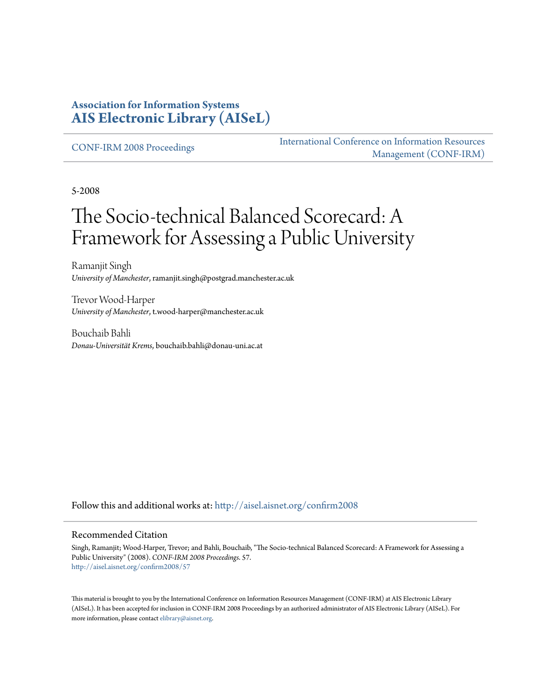### **Association for Information Systems [AIS Electronic Library \(AISeL\)](http://aisel.aisnet.org?utm_source=aisel.aisnet.org%2Fconfirm2008%2F57&utm_medium=PDF&utm_campaign=PDFCoverPages)**

[CONF-IRM 2008 Proceedings](http://aisel.aisnet.org/confirm2008?utm_source=aisel.aisnet.org%2Fconfirm2008%2F57&utm_medium=PDF&utm_campaign=PDFCoverPages)

[International Conference on Information Resources](http://aisel.aisnet.org/conf-irm?utm_source=aisel.aisnet.org%2Fconfirm2008%2F57&utm_medium=PDF&utm_campaign=PDFCoverPages) [Management \(CONF-IRM\)](http://aisel.aisnet.org/conf-irm?utm_source=aisel.aisnet.org%2Fconfirm2008%2F57&utm_medium=PDF&utm_campaign=PDFCoverPages)

5-2008

# The Socio-technical Balanced Scorecard: A Framework for Assessing a Public University

Ramanjit Singh *University of Manchester*, ramanjit.singh@postgrad.manchester.ac.uk

Trevor Wood-Harper *University of Manchester*, t.wood-harper@manchester.ac.uk

Bouchaib Bahli *Donau-Universität Krems*, bouchaib.bahli@donau-uni.ac.at

Follow this and additional works at: [http://aisel.aisnet.org/confirm2008](http://aisel.aisnet.org/confirm2008?utm_source=aisel.aisnet.org%2Fconfirm2008%2F57&utm_medium=PDF&utm_campaign=PDFCoverPages)

#### Recommended Citation

Singh, Ramanjit; Wood-Harper, Trevor; and Bahli, Bouchaib, "The Socio-technical Balanced Scorecard: A Framework for Assessing a Public University" (2008). *CONF-IRM 2008 Proceedings*. 57. [http://aisel.aisnet.org/confirm2008/57](http://aisel.aisnet.org/confirm2008/57?utm_source=aisel.aisnet.org%2Fconfirm2008%2F57&utm_medium=PDF&utm_campaign=PDFCoverPages)

This material is brought to you by the International Conference on Information Resources Management (CONF-IRM) at AIS Electronic Library (AISeL). It has been accepted for inclusion in CONF-IRM 2008 Proceedings by an authorized administrator of AIS Electronic Library (AISeL). For more information, please contact [elibrary@aisnet.org.](mailto:elibrary@aisnet.org%3E)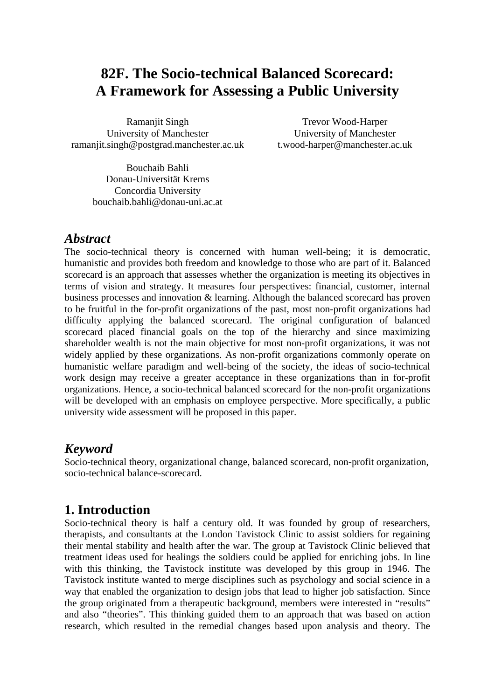# **82F. The Socio-technical Balanced Scorecard: A Framework for Assessing a Public University**

Ramanjit Singh University of Manchester ramanjit.singh@postgrad.manchester.ac.uk

Trevor Wood-Harper University of Manchester t.wood-harper@manchester.ac.uk

Bouchaib Bahli Donau-Universität Krems Concordia University bouchaib.bahli@donau-uni.ac.at

#### *Abstract*

The socio-technical theory is concerned with human well-being; it is democratic, humanistic and provides both freedom and knowledge to those who are part of it. Balanced scorecard is an approach that assesses whether the organization is meeting its objectives in terms of vision and strategy. It measures four perspectives: financial, customer, internal business processes and innovation & learning. Although the balanced scorecard has proven to be fruitful in the for-profit organizations of the past, most non-profit organizations had difficulty applying the balanced scorecard. The original configuration of balanced scorecard placed financial goals on the top of the hierarchy and since maximizing shareholder wealth is not the main objective for most non-profit organizations, it was not widely applied by these organizations. As non-profit organizations commonly operate on humanistic welfare paradigm and well-being of the society, the ideas of socio-technical work design may receive a greater acceptance in these organizations than in for-profit organizations. Hence, a socio-technical balanced scorecard for the non-profit organizations will be developed with an emphasis on employee perspective. More specifically, a public university wide assessment will be proposed in this paper.

### *Keyword*

Socio-technical theory, organizational change, balanced scorecard, non-profit organization, socio-technical balance-scorecard.

# **1. Introduction**

Socio-technical theory is half a century old. It was founded by group of researchers, therapists, and consultants at the London Tavistock Clinic to assist soldiers for regaining their mental stability and health after the war. The group at Tavistock Clinic believed that treatment ideas used for healings the soldiers could be applied for enriching jobs. In line with this thinking, the Tavistock institute was developed by this group in 1946. The Tavistock institute wanted to merge disciplines such as psychology and social science in a way that enabled the organization to design jobs that lead to higher job satisfaction. Since the group originated from a therapeutic background, members were interested in "results" and also "theories". This thinking guided them to an approach that was based on action research, which resulted in the remedial changes based upon analysis and theory. The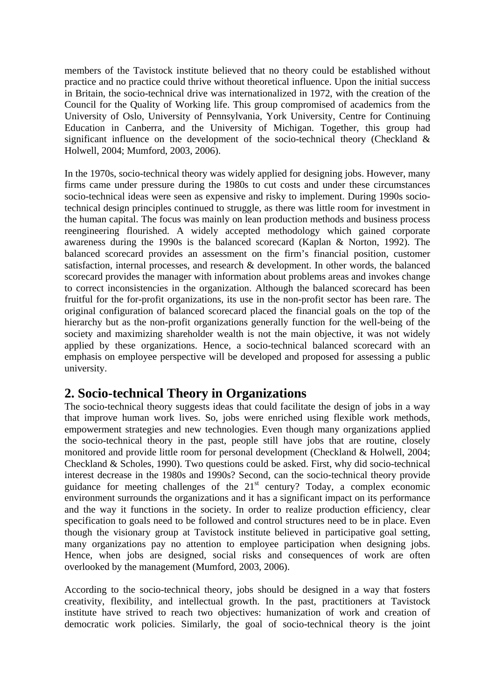members of the Tavistock institute believed that no theory could be established without practice and no practice could thrive without theoretical influence. Upon the initial success in Britain, the socio-technical drive was internationalized in 1972, with the creation of the Council for the Quality of Working life. This group compromised of academics from the University of Oslo, University of Pennsylvania, York University, Centre for Continuing Education in Canberra, and the University of Michigan. Together, this group had significant influence on the development of the socio-technical theory (Checkland & Holwell, 2004; Mumford, 2003, 2006).

In the 1970s, socio-technical theory was widely applied for designing jobs. However, many firms came under pressure during the 1980s to cut costs and under these circumstances socio-technical ideas were seen as expensive and risky to implement. During 1990s sociotechnical design principles continued to struggle, as there was little room for investment in the human capital. The focus was mainly on lean production methods and business process reengineering flourished. A widely accepted methodology which gained corporate awareness during the 1990s is the balanced scorecard (Kaplan & Norton, 1992). The balanced scorecard provides an assessment on the firm's financial position, customer satisfaction, internal processes, and research & development. In other words, the balanced scorecard provides the manager with information about problems areas and invokes change to correct inconsistencies in the organization. Although the balanced scorecard has been fruitful for the for-profit organizations, its use in the non-profit sector has been rare. The original configuration of balanced scorecard placed the financial goals on the top of the hierarchy but as the non-profit organizations generally function for the well-being of the society and maximizing shareholder wealth is not the main objective, it was not widely applied by these organizations. Hence, a socio-technical balanced scorecard with an emphasis on employee perspective will be developed and proposed for assessing a public university.

# **2. Socio-technical Theory in Organizations**

The socio-technical theory suggests ideas that could facilitate the design of jobs in a way that improve human work lives. So, jobs were enriched using flexible work methods, empowerment strategies and new technologies. Even though many organizations applied the socio-technical theory in the past, people still have jobs that are routine, closely monitored and provide little room for personal development (Checkland & Holwell, 2004; Checkland & Scholes, 1990). Two questions could be asked. First, why did socio-technical interest decrease in the 1980s and 1990s? Second, can the socio-technical theory provide guidance for meeting challenges of the  $21<sup>st</sup>$  century? Today, a complex economic environment surrounds the organizations and it has a significant impact on its performance and the way it functions in the society. In order to realize production efficiency, clear specification to goals need to be followed and control structures need to be in place. Even though the visionary group at Tavistock institute believed in participative goal setting, many organizations pay no attention to employee participation when designing jobs. Hence, when jobs are designed, social risks and consequences of work are often overlooked by the management (Mumford, 2003, 2006).

According to the socio-technical theory, jobs should be designed in a way that fosters creativity, flexibility, and intellectual growth. In the past, practitioners at Tavistock institute have strived to reach two objectives: humanization of work and creation of democratic work policies. Similarly, the goal of socio-technical theory is the joint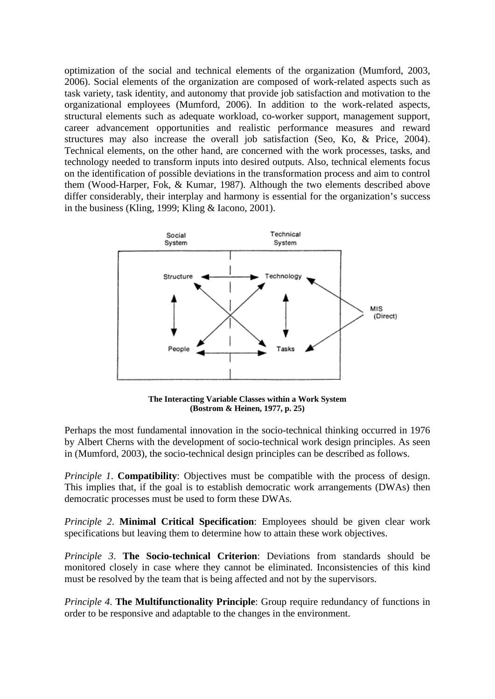optimization of the social and technical elements of the organization (Mumford, 2003, 2006). Social elements of the organization are composed of work-related aspects such as task variety, task identity, and autonomy that provide job satisfaction and motivation to the organizational employees (Mumford, 2006). In addition to the work-related aspects, structural elements such as adequate workload, co-worker support, management support, career advancement opportunities and realistic performance measures and reward structures may also increase the overall job satisfaction (Seo, Ko, & Price, 2004). Technical elements, on the other hand, are concerned with the work processes, tasks, and technology needed to transform inputs into desired outputs. Also, technical elements focus on the identification of possible deviations in the transformation process and aim to control them (Wood-Harper, Fok, & Kumar, 1987). Although the two elements described above differ considerably, their interplay and harmony is essential for the organization's success in the business (Kling, 1999; Kling & Iacono, 2001).



**The Interacting Variable Classes within a Work System (Bostrom & Heinen, 1977, p. 25)** 

Perhaps the most fundamental innovation in the socio-technical thinking occurred in 1976 by Albert Cherns with the development of socio-technical work design principles. As seen in (Mumford, 2003), the socio-technical design principles can be described as follows.

*Principle 1*. **Compatibility**: Objectives must be compatible with the process of design. This implies that, if the goal is to establish democratic work arrangements (DWAs) then democratic processes must be used to form these DWAs.

*Principle 2*. **Minimal Critical Specification**: Employees should be given clear work specifications but leaving them to determine how to attain these work objectives.

*Principle 3*. **The Socio-technical Criterion**: Deviations from standards should be monitored closely in case where they cannot be eliminated. Inconsistencies of this kind must be resolved by the team that is being affected and not by the supervisors.

*Principle 4*. **The Multifunctionality Principle**: Group require redundancy of functions in order to be responsive and adaptable to the changes in the environment.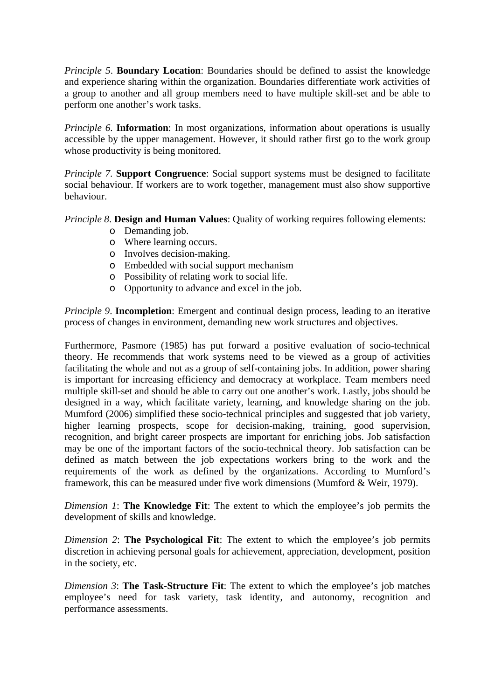*Principle 5*. **Boundary Location**: Boundaries should be defined to assist the knowledge and experience sharing within the organization. Boundaries differentiate work activities of a group to another and all group members need to have multiple skill-set and be able to perform one another's work tasks.

*Principle 6*. **Information**: In most organizations, information about operations is usually accessible by the upper management. However, it should rather first go to the work group whose productivity is being monitored.

*Principle 7*. **Support Congruence**: Social support systems must be designed to facilitate social behaviour. If workers are to work together, management must also show supportive behaviour.

*Principle 8*. **Design and Human Values**: Quality of working requires following elements:

- o Demanding job.
- o Where learning occurs.
- o Involves decision-making.
- o Embedded with social support mechanism
- o Possibility of relating work to social life.
- o Opportunity to advance and excel in the job.

*Principle 9*. **Incompletion**: Emergent and continual design process, leading to an iterative process of changes in environment, demanding new work structures and objectives.

Furthermore, Pasmore (1985) has put forward a positive evaluation of socio-technical theory. He recommends that work systems need to be viewed as a group of activities facilitating the whole and not as a group of self-containing jobs. In addition, power sharing is important for increasing efficiency and democracy at workplace. Team members need multiple skill-set and should be able to carry out one another's work. Lastly, jobs should be designed in a way, which facilitate variety, learning, and knowledge sharing on the job. Mumford (2006) simplified these socio-technical principles and suggested that job variety, higher learning prospects, scope for decision-making, training, good supervision, recognition, and bright career prospects are important for enriching jobs. Job satisfaction may be one of the important factors of the socio-technical theory. Job satisfaction can be defined as match between the job expectations workers bring to the work and the requirements of the work as defined by the organizations. According to Mumford's framework, this can be measured under five work dimensions (Mumford & Weir, 1979).

*Dimension 1*: **The Knowledge Fit**: The extent to which the employee's job permits the development of skills and knowledge.

*Dimension 2*: **The Psychological Fit**: The extent to which the employee's job permits discretion in achieving personal goals for achievement, appreciation, development, position in the society, etc.

*Dimension 3*: **The Task-Structure Fit**: The extent to which the employee's job matches employee's need for task variety, task identity, and autonomy, recognition and performance assessments.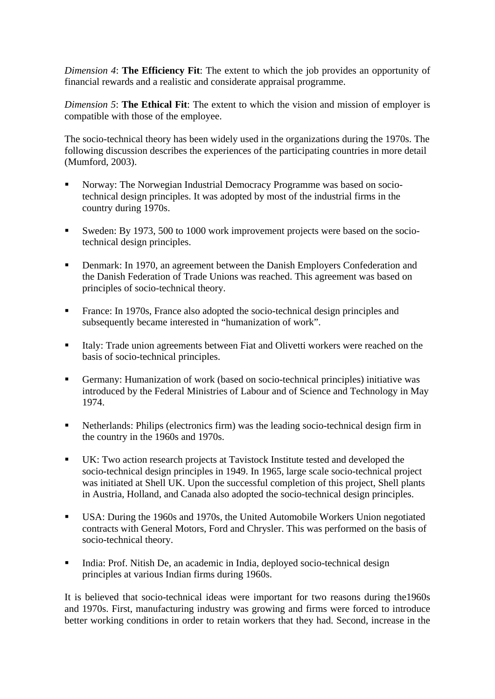*Dimension 4*: **The Efficiency Fit**: The extent to which the job provides an opportunity of financial rewards and a realistic and considerate appraisal programme.

*Dimension 5*: **The Ethical Fit**: The extent to which the vision and mission of employer is compatible with those of the employee.

The socio-technical theory has been widely used in the organizations during the 1970s. The following discussion describes the experiences of the participating countries in more detail (Mumford, 2003).

- Norway: The Norwegian Industrial Democracy Programme was based on sociotechnical design principles. It was adopted by most of the industrial firms in the country during 1970s.
- Sweden: By 1973, 500 to 1000 work improvement projects were based on the sociotechnical design principles.
- **•** Denmark: In 1970, an agreement between the Danish Employers Confederation and the Danish Federation of Trade Unions was reached. This agreement was based on principles of socio-technical theory.
- **France:** In 1970s, France also adopted the socio-technical design principles and subsequently became interested in "humanization of work".
- Italy: Trade union agreements between Fiat and Olivetti workers were reached on the basis of socio-technical principles.
- Germany: Humanization of work (based on socio-technical principles) initiative was introduced by the Federal Ministries of Labour and of Science and Technology in May 1974.
- Netherlands: Philips (electronics firm) was the leading socio-technical design firm in the country in the 1960s and 1970s.
- UK: Two action research projects at Tavistock Institute tested and developed the socio-technical design principles in 1949. In 1965, large scale socio-technical project was initiated at Shell UK. Upon the successful completion of this project, Shell plants in Austria, Holland, and Canada also adopted the socio-technical design principles.
- USA: During the 1960s and 1970s, the United Automobile Workers Union negotiated contracts with General Motors, Ford and Chrysler. This was performed on the basis of socio-technical theory.
- India: Prof. Nitish De, an academic in India, deployed socio-technical design principles at various Indian firms during 1960s.

It is believed that socio-technical ideas were important for two reasons during the1960s and 1970s. First, manufacturing industry was growing and firms were forced to introduce better working conditions in order to retain workers that they had. Second, increase in the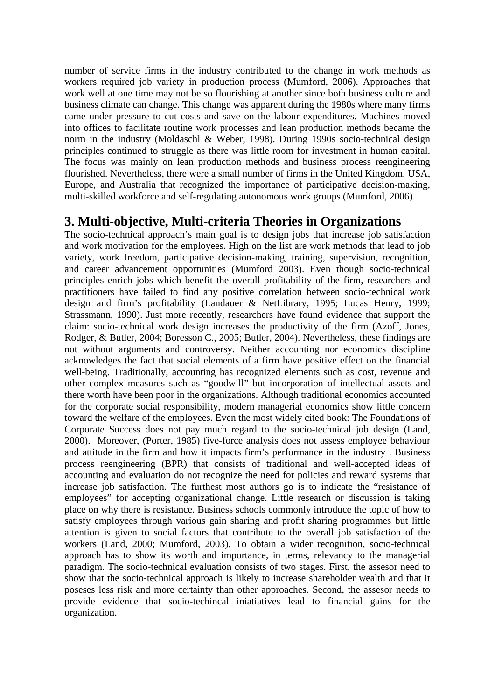number of service firms in the industry contributed to the change in work methods as workers required job variety in production process (Mumford, 2006). Approaches that work well at one time may not be so flourishing at another since both business culture and business climate can change. This change was apparent during the 1980s where many firms came under pressure to cut costs and save on the labour expenditures. Machines moved into offices to facilitate routine work processes and lean production methods became the norm in the industry (Moldaschl & Weber, 1998). During 1990s socio-technical design principles continued to struggle as there was little room for investment in human capital. The focus was mainly on lean production methods and business process reengineering flourished. Nevertheless, there were a small number of firms in the United Kingdom, USA, Europe, and Australia that recognized the importance of participative decision-making, multi-skilled workforce and self-regulating autonomous work groups (Mumford, 2006).

### **3. Multi-objective, Multi-criteria Theories in Organizations**

The socio-technical approach's main goal is to design jobs that increase job satisfaction and work motivation for the employees. High on the list are work methods that lead to job variety, work freedom, participative decision-making, training, supervision, recognition, and career advancement opportunities (Mumford 2003). Even though socio-technical principles enrich jobs which benefit the overall profitability of the firm, researchers and practitioners have failed to find any positive correlation between socio-technical work design and firm's profitability (Landauer & NetLibrary, 1995; Lucas Henry, 1999; Strassmann, 1990). Just more recently, researchers have found evidence that support the claim: socio-technical work design increases the productivity of the firm (Azoff, Jones, Rodger, & Butler, 2004; Boresson C., 2005; Butler, 2004). Nevertheless, these findings are not without arguments and controversy. Neither accounting nor economics discipline acknowledges the fact that social elements of a firm have positive effect on the financial well-being. Traditionally, accounting has recognized elements such as cost, revenue and other complex measures such as "goodwill" but incorporation of intellectual assets and there worth have been poor in the organizations. Although traditional economics accounted for the corporate social responsibility, modern managerial economics show little concern toward the welfare of the employees. Even the most widely cited book: The Foundations of Corporate Success does not pay much regard to the socio-technical job design (Land, 2000). Moreover, (Porter, 1985) five-force analysis does not assess employee behaviour and attitude in the firm and how it impacts firm's performance in the industry . Business process reengineering (BPR) that consists of traditional and well-accepted ideas of accounting and evaluation do not recognize the need for policies and reward systems that increase job satisfaction. The furthest most authors go is to indicate the "resistance of employees" for accepting organizational change. Little research or discussion is taking place on why there is resistance. Business schools commonly introduce the topic of how to satisfy employees through various gain sharing and profit sharing programmes but little attention is given to social factors that contribute to the overall job satisfaction of the workers (Land, 2000; Mumford, 2003). To obtain a wider recognition, socio-technical approach has to show its worth and importance, in terms, relevancy to the managerial paradigm. The socio-technical evaluation consists of two stages. First, the assesor need to show that the socio-technical approach is likely to increase shareholder wealth and that it poseses less risk and more certainty than other approaches. Second, the assesor needs to provide evidence that socio-techincal iniatiatives lead to financial gains for the organization.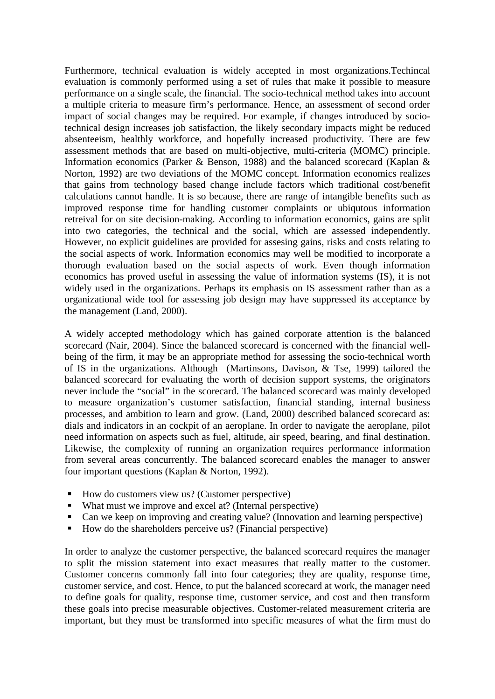Furthermore, technical evaluation is widely accepted in most organizations.Techincal evaluation is commonly performed using a set of rules that make it possible to measure performance on a single scale, the financial. The socio-technical method takes into account a multiple criteria to measure firm's performance. Hence, an assessment of second order impact of social changes may be required. For example, if changes introduced by sociotechnical design increases job satisfaction, the likely secondary impacts might be reduced absenteeism, healthly workforce, and hopefully increased productivity. There are few assessment methods that are based on multi-objective, multi-criteria (MOMC) principle. Information economics (Parker & Benson, 1988) and the balanced scorecard (Kaplan & Norton, 1992) are two deviations of the MOMC concept. Information economics realizes that gains from technology based change include factors which traditional cost/benefit calculations cannot handle. It is so because, there are range of intangible benefits such as improved response time for handling customer complaints or ubiqutous information retreival for on site decision-making. According to information economics, gains are split into two categories, the technical and the social, which are assessed independently. However, no explicit guidelines are provided for assesing gains, risks and costs relating to the social aspects of work. Information economics may well be modified to incorporate a thorough evaluation based on the social aspects of work. Even though information economics has proved useful in assessing the value of information systems (IS), it is not widely used in the organizations. Perhaps its emphasis on IS assessment rather than as a organizational wide tool for assessing job design may have suppressed its acceptance by the management (Land, 2000).

A widely accepted methodology which has gained corporate attention is the balanced scorecard (Nair, 2004). Since the balanced scorecard is concerned with the financial wellbeing of the firm, it may be an appropriate method for assessing the socio-technical worth of IS in the organizations. Although (Martinsons, Davison, & Tse, 1999) tailored the balanced scorecard for evaluating the worth of decision support systems, the originators never include the "social" in the scorecard. The balanced scorecard was mainly developed to measure organization's customer satisfaction, financial standing, internal business processes, and ambition to learn and grow. (Land, 2000) described balanced scorecard as: dials and indicators in an cockpit of an aeroplane. In order to navigate the aeroplane, pilot need information on aspects such as fuel, altitude, air speed, bearing, and final destination. Likewise, the complexity of running an organization requires performance information from several areas concurrently. The balanced scorecard enables the manager to answer four important questions (Kaplan & Norton, 1992).

- $\blacksquare$  How do customers view us? (Customer perspective)
- What must we improve and excel at? (Internal perspective)
- Can we keep on improving and creating value? (Innovation and learning perspective)
- $\blacksquare$  How do the shareholders perceive us? (Financial perspective)

In order to analyze the customer perspective, the balanced scorecard requires the manager to split the mission statement into exact measures that really matter to the customer. Customer concerns commonly fall into four categories; they are quality, response time, customer service, and cost. Hence, to put the balanced scorecard at work, the manager need to define goals for quality, response time, customer service, and cost and then transform these goals into precise measurable objectives. Customer-related measurement criteria are important, but they must be transformed into specific measures of what the firm must do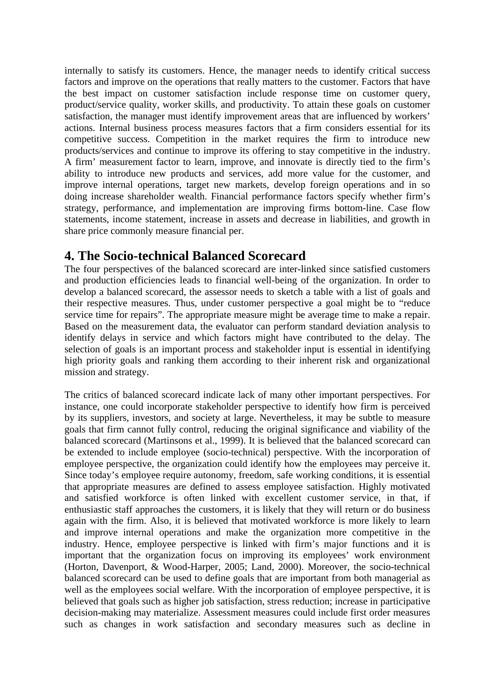internally to satisfy its customers. Hence, the manager needs to identify critical success factors and improve on the operations that really matters to the customer. Factors that have the best impact on customer satisfaction include response time on customer query, product/service quality, worker skills, and productivity. To attain these goals on customer satisfaction, the manager must identify improvement areas that are influenced by workers' actions. Internal business process measures factors that a firm considers essential for its competitive success. Competition in the market requires the firm to introduce new products/services and continue to improve its offering to stay competitive in the industry. A firm' measurement factor to learn, improve, and innovate is directly tied to the firm's ability to introduce new products and services, add more value for the customer, and improve internal operations, target new markets, develop foreign operations and in so doing increase shareholder wealth. Financial performance factors specify whether firm's strategy, performance, and implementation are improving firms bottom-line. Case flow statements, income statement, increase in assets and decrease in liabilities, and growth in share price commonly measure financial per.

# **4. The Socio-technical Balanced Scorecard**

The four perspectives of the balanced scorecard are inter-linked since satisfied customers and production efficiencies leads to financial well-being of the organization. In order to develop a balanced scorecard, the assessor needs to sketch a table with a list of goals and their respective measures. Thus, under customer perspective a goal might be to "reduce service time for repairs". The appropriate measure might be average time to make a repair. Based on the measurement data, the evaluator can perform standard deviation analysis to identify delays in service and which factors might have contributed to the delay. The selection of goals is an important process and stakeholder input is essential in identifying high priority goals and ranking them according to their inherent risk and organizational mission and strategy.

The critics of balanced scorecard indicate lack of many other important perspectives. For instance, one could incorporate stakeholder perspective to identify how firm is perceived by its suppliers, investors, and society at large. Nevertheless, it may be subtle to measure goals that firm cannot fully control, reducing the original significance and viability of the balanced scorecard (Martinsons et al., 1999). It is believed that the balanced scorecard can be extended to include employee (socio-technical) perspective. With the incorporation of employee perspective, the organization could identify how the employees may perceive it. Since today's employee require autonomy, freedom, safe working conditions, it is essential that appropriate measures are defined to assess employee satisfaction. Highly motivated and satisfied workforce is often linked with excellent customer service, in that, if enthusiastic staff approaches the customers, it is likely that they will return or do business again with the firm. Also, it is believed that motivated workforce is more likely to learn and improve internal operations and make the organization more competitive in the industry. Hence, employee perspective is linked with firm's major functions and it is important that the organization focus on improving its employees' work environment (Horton, Davenport, & Wood-Harper, 2005; Land, 2000). Moreover, the socio-technical balanced scorecard can be used to define goals that are important from both managerial as well as the employees social welfare. With the incorporation of employee perspective, it is believed that goals such as higher job satisfaction, stress reduction; increase in participative decision-making may materialize. Assessment measures could include first order measures such as changes in work satisfaction and secondary measures such as decline in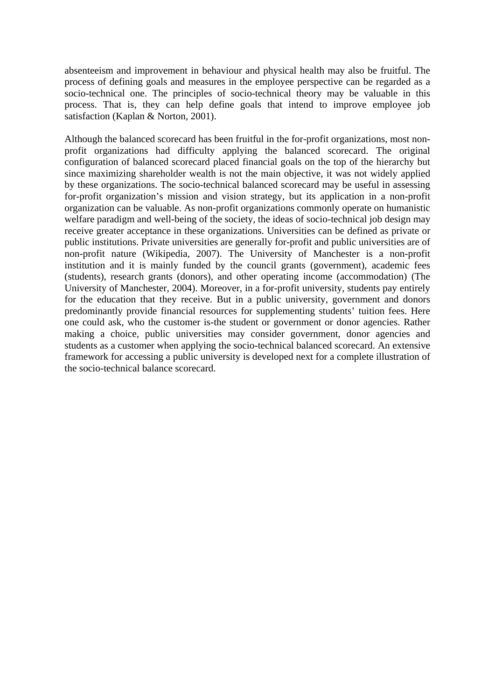absenteeism and improvement in behaviour and physical health may also be fruitful. The process of defining goals and measures in the employee perspective can be regarded as a socio-technical one. The principles of socio-technical theory may be valuable in this process. That is, they can help define goals that intend to improve employee job satisfaction (Kaplan & Norton, 2001).

Although the balanced scorecard has been fruitful in the for-profit organizations, most nonprofit organizations had difficulty applying the balanced scorecard. The original configuration of balanced scorecard placed financial goals on the top of the hierarchy but since maximizing shareholder wealth is not the main objective, it was not widely applied by these organizations. The socio-technical balanced scorecard may be useful in assessing for-profit organization's mission and vision strategy, but its application in a non-profit organization can be valuable. As non-profit organizations commonly operate on humanistic welfare paradigm and well-being of the society, the ideas of socio-technical job design may receive greater acceptance in these organizations. Universities can be defined as private or public institutions. Private universities are generally for-profit and public universities are of non-profit nature (Wikipedia, 2007). The University of Manchester is a non-profit institution and it is mainly funded by the council grants (government), academic fees (students), research grants (donors), and other operating income (accommodation) (The University of Manchester, 2004). Moreover, in a for-profit university, students pay entirely for the education that they receive. But in a public university, government and donors predominantly provide financial resources for supplementing students' tuition fees. Here one could ask, who the customer is-the student or government or donor agencies. Rather making a choice, public universities may consider government, donor agencies and students as a customer when applying the socio-technical balanced scorecard. An extensive framework for accessing a public university is developed next for a complete illustration of the socio-technical balance scorecard.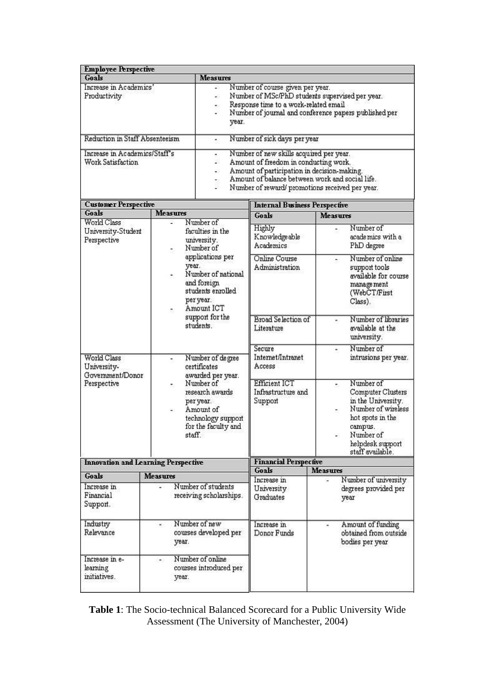| <b>Employee Perspective</b>                            |                                                                      |                                                                                                                                                                                                                                            |                                         |                                                                                                                                                                                            |  |
|--------------------------------------------------------|----------------------------------------------------------------------|--------------------------------------------------------------------------------------------------------------------------------------------------------------------------------------------------------------------------------------------|-----------------------------------------|--------------------------------------------------------------------------------------------------------------------------------------------------------------------------------------------|--|
| Goals                                                  |                                                                      | <b>Measures</b>                                                                                                                                                                                                                            |                                         |                                                                                                                                                                                            |  |
| Increase in Academics'<br>Productivity                 |                                                                      | Number of course given per year.<br>Ľ6<br>Number of MSc/PhD students supervised per year.<br>ωö<br>Response time to a work-related email<br>щ.<br>Number of journal and conference papers published per<br>year.                           |                                         |                                                                                                                                                                                            |  |
| Reduction in Staff Absenteeism                         |                                                                      | Number of sick days per year<br>۰                                                                                                                                                                                                          |                                         |                                                                                                                                                                                            |  |
| Increase in Academics/Staff's<br>Work Satisfaction     |                                                                      | Number of new skills acquired per year.<br>۰<br>Amount of freedom in conducting work.<br>Amount of participation in decision-making.<br>Amount of balance between work and social life.<br>Number of reward/ promotions received per year. |                                         |                                                                                                                                                                                            |  |
| <b>Customer Perspective</b>                            |                                                                      |                                                                                                                                                                                                                                            | <b>Internal Business Perspective</b>    |                                                                                                                                                                                            |  |
| <b>Measures</b><br>Goals                               |                                                                      |                                                                                                                                                                                                                                            | Goals                                   | <b>Measures</b>                                                                                                                                                                            |  |
| World Class<br>U.<br>University-Student<br>Perspective |                                                                      | Number of<br>faculties in the<br>university.<br>Number of                                                                                                                                                                                  | Highly<br>Knowledgeable<br>Academics    | Number of<br>academics with a<br>PhD degree                                                                                                                                                |  |
|                                                        | year.                                                                | applications per<br>Number of national<br>and foreign<br>students enrolled<br>per year.<br>Amount ICT                                                                                                                                      | Online Course<br>Administration         | Number of online<br>$\sim$<br>support tools<br>available for course<br>manage ment<br>(WebCT/First<br>Class).                                                                              |  |
|                                                        |                                                                      | support for the<br>students.                                                                                                                                                                                                               | <b>Broad Selection of</b><br>Literature | Number of libraries<br>à.<br>available at the<br>university.                                                                                                                               |  |
| World Class<br>University-<br>Government/Donor         | ٠                                                                    | Number of degree<br>certificates<br>awarded per year.                                                                                                                                                                                      | Secure<br>Internet/Intranet<br>Access   | Number of<br>Ħ.<br>intrusions per year.                                                                                                                                                    |  |
| Perspective                                            | ÷,                                                                   | Number of<br>research awards<br>per year.<br>Amount of<br>technology support<br>for the faculty and<br>staff.                                                                                                                              |                                         | Number of<br>s.<br>Infrastructure and<br>Computer Clusters<br>in the University.<br>Number of wireless<br>hot spots in the<br>campus.<br>Number of<br>helpdesk support<br>staff available. |  |
| <b>Innovation and Learning Perspective</b>             |                                                                      | <b>Financial Perspective</b>                                                                                                                                                                                                               |                                         |                                                                                                                                                                                            |  |
| Goals                                                  |                                                                      | <b>Measures</b>                                                                                                                                                                                                                            |                                         | Goals<br><b>Measures</b><br>Increase in                                                                                                                                                    |  |
| Increase in<br>Financial<br>Support.                   |                                                                      | Number of students<br>receiving scholarships.                                                                                                                                                                                              |                                         | Number of university<br>degrees provided per<br>year                                                                                                                                       |  |
| Industry<br>Relevance                                  | Number of new<br>W.<br>courses developed per<br>year.                |                                                                                                                                                                                                                                            | Increase in<br>Donor Funds              | Amount of funding<br>×,<br>obtained from outside<br>bodies per year                                                                                                                        |  |
| Increase in e-<br>learning<br>initiatives.             | Number of online<br>$\frac{1}{2}$<br>courses introduced per<br>year. |                                                                                                                                                                                                                                            |                                         |                                                                                                                                                                                            |  |

**Table 1**: The Socio-technical Balanced Scorecard for a Public University Wide Assessment (The University of Manchester, 2004)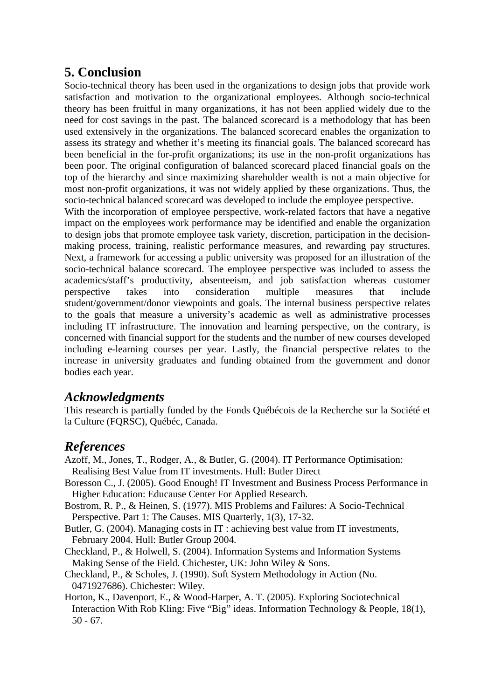# **5. Conclusion**

Socio-technical theory has been used in the organizations to design jobs that provide work satisfaction and motivation to the organizational employees. Although socio-technical theory has been fruitful in many organizations, it has not been applied widely due to the need for cost savings in the past. The balanced scorecard is a methodology that has been used extensively in the organizations. The balanced scorecard enables the organization to assess its strategy and whether it's meeting its financial goals. The balanced scorecard has been beneficial in the for-profit organizations; its use in the non-profit organizations has been poor. The original configuration of balanced scorecard placed financial goals on the top of the hierarchy and since maximizing shareholder wealth is not a main objective for most non-profit organizations, it was not widely applied by these organizations. Thus, the socio-technical balanced scorecard was developed to include the employee perspective.

With the incorporation of employee perspective, work-related factors that have a negative impact on the employees work performance may be identified and enable the organization to design jobs that promote employee task variety, discretion, participation in the decisionmaking process, training, realistic performance measures, and rewarding pay structures. Next, a framework for accessing a public university was proposed for an illustration of the socio-technical balance scorecard. The employee perspective was included to assess the academics/staff's productivity, absenteeism, and job satisfaction whereas customer perspective takes into consideration multiple measures that include student/government/donor viewpoints and goals. The internal business perspective relates to the goals that measure a university's academic as well as administrative processes including IT infrastructure. The innovation and learning perspective, on the contrary, is concerned with financial support for the students and the number of new courses developed including e-learning courses per year. Lastly, the financial perspective relates to the increase in university graduates and funding obtained from the government and donor bodies each year.

# *Acknowledgments*

This research is partially funded by the Fonds Québécois de la Recherche sur la Société et la Culture (FQRSC), Québéc, Canada.

# *References*

- Azoff, M., Jones, T., Rodger, A., & Butler, G. (2004). IT Performance Optimisation: Realising Best Value from IT investments. Hull: Butler Direct
- Boresson C., J. (2005). Good Enough! IT Investment and Business Process Performance in Higher Education: Educause Center For Applied Research.
- Bostrom, R. P., & Heinen, S. (1977). MIS Problems and Failures: A Socio-Technical Perspective. Part 1: The Causes. MIS Quarterly, 1(3), 17-32.
- Butler, G. (2004). Managing costs in IT : achieving best value from IT investments, February 2004. Hull: Butler Group 2004.
- Checkland, P., & Holwell, S. (2004). Information Systems and Information Systems Making Sense of the Field. Chichester, UK: John Wiley & Sons.
- Checkland, P., & Scholes, J. (1990). Soft System Methodology in Action (No. 0471927686). Chichester: Wiley.
- Horton, K., Davenport, E., & Wood-Harper, A. T. (2005). Exploring Sociotechnical Interaction With Rob Kling: Five "Big" ideas. Information Technology & People, 18(1), 50 - 67.